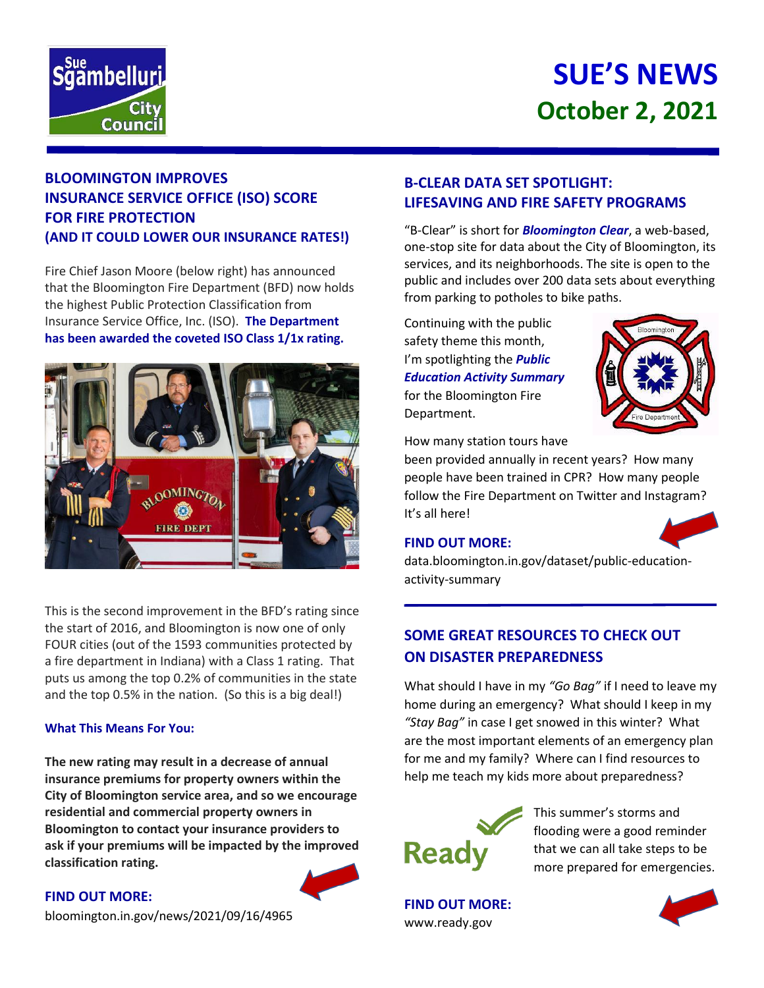

# **SUE'S NEWS October 2, 2021**

## **BLOOMINGTON IMPROVES INSURANCE SERVICE OFFICE (ISO) SCORE FOR FIRE PROTECTION (AND IT COULD LOWER OUR INSURANCE RATES!)**

Fire Chief Jason Moore (below right) has announced that the Bloomington Fire Department (BFD) now holds the highest Public Protection Classification from Insurance Service Office, Inc. (ISO). **The Department has been awarded the coveted ISO Class 1/1x rating.**



This is the second improvement in the BFD's rating since the start of 2016, and Bloomington is now one of only FOUR cities (out of the 1593 communities protected by a fire department in Indiana) with a Class 1 rating. That puts us among the top 0.2% of communities in the state and the top 0.5% in the nation. (So this is a big deal!)

#### **What This Means For You:**

**The new rating may result in a decrease of annual insurance premiums for property owners within the City of Bloomington service area, and so we encourage residential and commercial property owners in Bloomington to contact your insurance providers to ask if your premiums will be impacted by the improved classification rating.**

#### **FIND OUT MORE:**

bloomington.in.gov/news/2021/09/16/4965

## **B-CLEAR DATA SET SPOTLIGHT: LIFESAVING AND FIRE SAFETY PROGRAMS**

"B-Clear" is short for *Bloomington Clear*, a web-based, one-stop site for data about the City of Bloomington, its services, and its neighborhoods. The site is open to the public and includes over 200 data sets about everything from parking to potholes to bike paths.

Continuing with the public safety theme this month, I'm spotlighting the *Public Education Activity Summary* for the Bloomington Fire Department.



How many station tours have

been provided annually in recent years? How many people have been trained in CPR? How many people follow the Fire Department on Twitter and Instagram? It's all here!

## **FIND OUT MORE:**



data.bloomington.in.gov/dataset/public-educationactivity-summary

# **SOME GREAT RESOURCES TO CHECK OUT ON DISASTER PREPAREDNESS**

What should I have in my *"Go Bag"* if I need to leave my home during an emergency? What should I keep in my *"Stay Bag"* in case I get snowed in this winter? What are the most important elements of an emergency plan for me and my family? Where can I find resources to help me teach my kids more about preparedness?



This summer's storms and flooding were a good reminder that we can all take steps to be more prepared for emergencies.

**FIND OUT MORE:** www.ready.gov